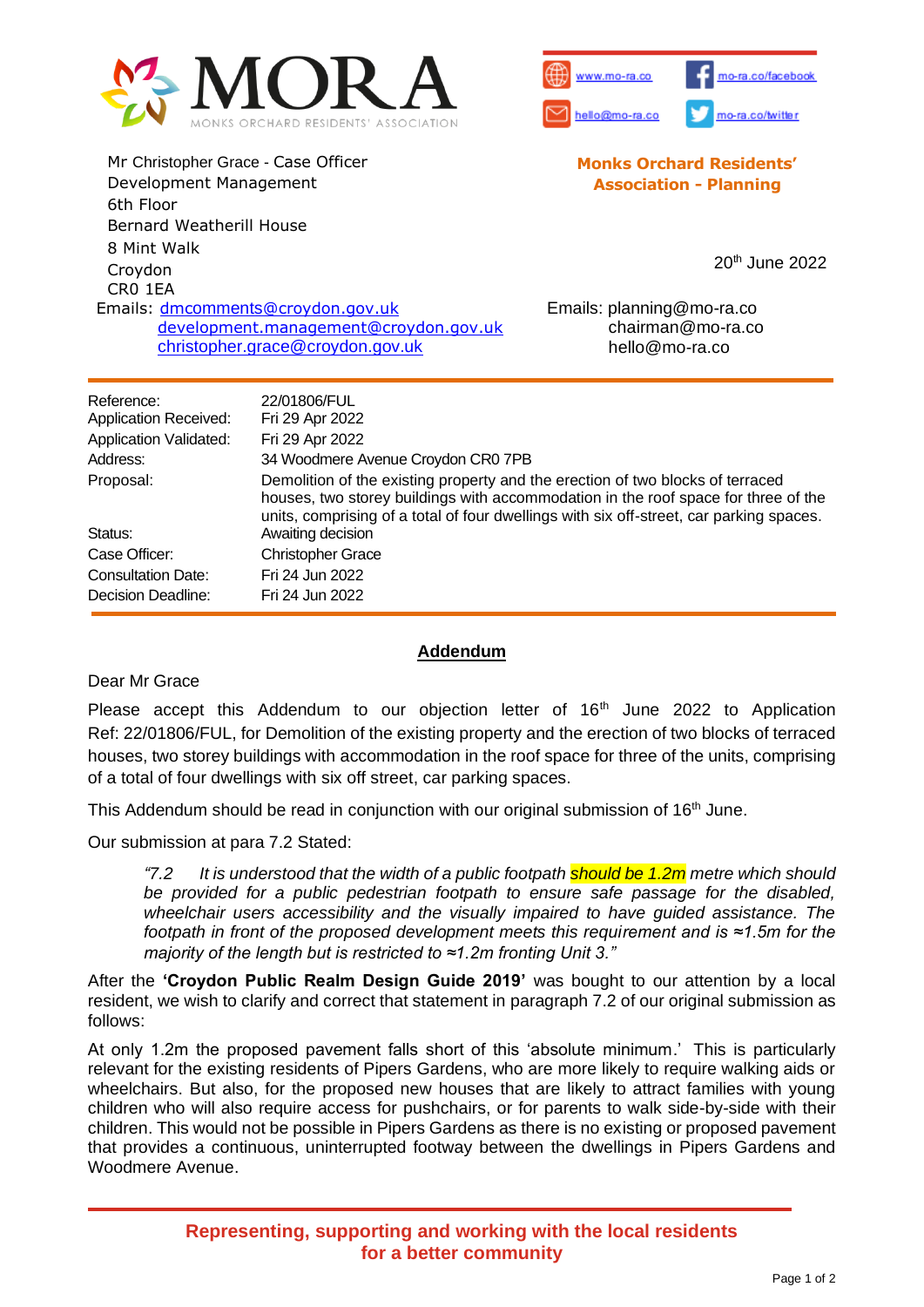



**Monks Orchard Residents' Association - Planning**

Mr Christopher Grace - Case Officer Development Management 6th Floor Bernard Weatherill House 8 Mint Walk Croydon CR0 1EA Emails: dmcomments[@croydon.gov.uk](mailto:dmcomments@croydon.gov.uk) [development.management@croydon.gov.uk](mailto:development.management@croydon.gov.uk) christopher.grace@croydon.gov.uk

20th June 2022

Emails: planning@mo-ra.co chairman@mo-ra.co hello@mo-ra.co

| Reference:<br><b>Application Received:</b> | 22/01806/FUL<br>Fri 29 Apr 2022                                                                                                                                                                                                                                 |
|--------------------------------------------|-----------------------------------------------------------------------------------------------------------------------------------------------------------------------------------------------------------------------------------------------------------------|
| <b>Application Validated:</b>              | Fri 29 Apr 2022                                                                                                                                                                                                                                                 |
| Address:                                   | 34 Woodmere Avenue Croydon CR0 7PB                                                                                                                                                                                                                              |
| Proposal:                                  | Demolition of the existing property and the erection of two blocks of terraced<br>houses, two storey buildings with accommodation in the roof space for three of the<br>units, comprising of a total of four dwellings with six off-street, car parking spaces. |
| Status:                                    | Awaiting decision                                                                                                                                                                                                                                               |
| Case Officer:                              | <b>Christopher Grace</b>                                                                                                                                                                                                                                        |
| <b>Consultation Date:</b>                  | Fri 24 Jun 2022                                                                                                                                                                                                                                                 |
| <b>Decision Deadline:</b>                  | Fri 24 Jun 2022                                                                                                                                                                                                                                                 |

## **Addendum**

Dear Mr Grace

Please accept this Addendum to our objection letter of 16<sup>th</sup> June 2022 to Application Ref: 22/01806/FUL, for Demolition of the existing property and the erection of two blocks of terraced houses, two storey buildings with accommodation in the roof space for three of the units, comprising of a total of four dwellings with six off street, car parking spaces.

This Addendum should be read in conjunction with our original submission of  $16<sup>th</sup>$  June.

Our submission at para 7.2 Stated:

*"7.2 It is understood that the width of a public footpath should be 1.2m metre which should*  be provided for a public pedestrian footpath to ensure safe passage for the disabled, *wheelchair users accessibility and the visually impaired to have guided assistance. The footpath in front of the proposed development meets this requirement and is ≈1.5m for the majority of the length but is restricted to ≈1.2m fronting Unit 3."*

After the **'Croydon Public Realm Design Guide 2019'** was bought to our attention by a local resident, we wish to clarify and correct that statement in paragraph 7.2 of our original submission as follows:

At only 1.2m the proposed pavement falls short of this 'absolute minimum.' This is particularly relevant for the existing residents of Pipers Gardens, who are more likely to require walking aids or wheelchairs. But also, for the proposed new houses that are likely to attract families with young children who will also require access for pushchairs, or for parents to walk side-by-side with their children. This would not be possible in Pipers Gardens as there is no existing or proposed pavement that provides a continuous, uninterrupted footway between the dwellings in Pipers Gardens and Woodmere Avenue.